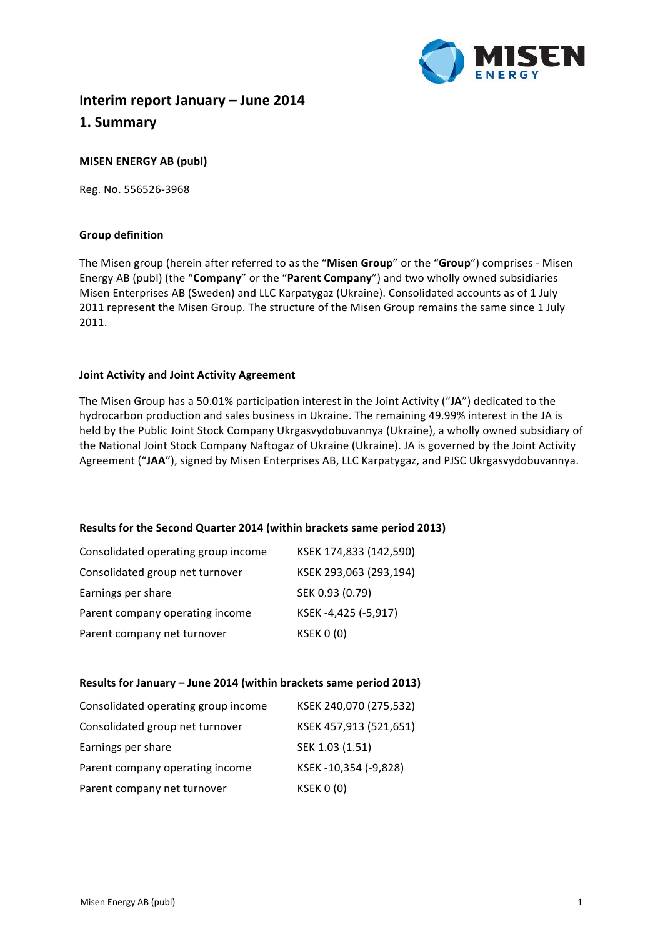

# **Interim report January – June 2014 1. Summary**

### **MISEN ENERGY AB (publ)**

Reg. No. 556526-3968

### **Group definition**

The Misen group (herein after referred to as the "Misen Group" or the "Group") comprises - Misen Energy AB (publ) (the "**Company**" or the "Parent Company") and two wholly owned subsidiaries Misen Enterprises AB (Sweden) and LLC Karpatygaz (Ukraine). Consolidated accounts as of 1 July 2011 represent the Misen Group. The structure of the Misen Group remains the same since 1 July 2011.

### **Joint Activity and Joint Activity Agreement**

The Misen Group has a 50.01% participation interest in the Joint Activity ("JA") dedicated to the hydrocarbon production and sales business in Ukraine. The remaining 49.99% interest in the JA is held by the Public Joint Stock Company Ukrgasvydobuvannya (Ukraine), a wholly owned subsidiary of the National Joint Stock Company Naftogaz of Ukraine (Ukraine). JA is governed by the Joint Activity Agreement ("JAA"), signed by Misen Enterprises AB, LLC Karpatygaz, and PJSC Ukrgasvydobuvannya.

### **Results for the Second Quarter 2014 (within brackets same period 2013)**

| Consolidated operating group income | KSEK 174,833 (142,590) |
|-------------------------------------|------------------------|
| Consolidated group net turnover     | KSEK 293,063 (293,194) |
| Earnings per share                  | SEK 0.93 (0.79)        |
| Parent company operating income     | KSEK-4,425 (-5,917)    |
| Parent company net turnover         | <b>KSEK 0 (0)</b>      |

#### Results for January - June 2014 (within brackets same period 2013)

| Consolidated operating group income | KSEK 240,070 (275,532) |
|-------------------------------------|------------------------|
| Consolidated group net turnover     | KSEK 457,913 (521,651) |
| Earnings per share                  | SEK 1.03 (1.51)        |
| Parent company operating income     | KSEK-10,354 (-9,828)   |
| Parent company net turnover         | <b>KSEK 0 (0)</b>      |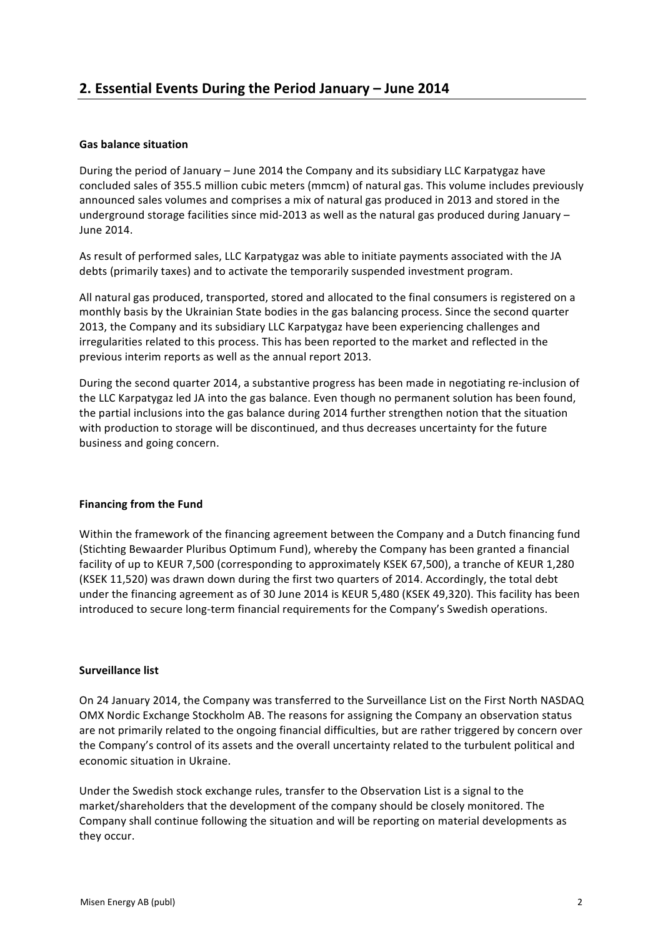## **Gas balance situation**

During the period of January – June 2014 the Company and its subsidiary LLC Karpatygaz have concluded sales of 355.5 million cubic meters (mmcm) of natural gas. This volume includes previously announced sales volumes and comprises a mix of natural gas produced in 2013 and stored in the underground storage facilities since mid-2013 as well as the natural gas produced during January  $-$ June 2014.

As result of performed sales, LLC Karpatygaz was able to initiate payments associated with the JA debts (primarily taxes) and to activate the temporarily suspended investment program.

All natural gas produced, transported, stored and allocated to the final consumers is registered on a monthly basis by the Ukrainian State bodies in the gas balancing process. Since the second quarter 2013, the Company and its subsidiary LLC Karpatygaz have been experiencing challenges and irregularities related to this process. This has been reported to the market and reflected in the previous interim reports as well as the annual report 2013.

During the second quarter 2014, a substantive progress has been made in negotiating re-inclusion of the LLC Karpatygaz led JA into the gas balance. Even though no permanent solution has been found, the partial inclusions into the gas balance during 2014 further strengthen notion that the situation with production to storage will be discontinued, and thus decreases uncertainty for the future business and going concern.

### **Financing from the Fund**

Within the framework of the financing agreement between the Company and a Dutch financing fund (Stichting Bewaarder Pluribus Optimum Fund), whereby the Company has been granted a financial facility of up to KEUR 7,500 (corresponding to approximately KSEK 67,500), a tranche of KEUR 1,280 (KSEK 11,520) was drawn down during the first two quarters of 2014. Accordingly, the total debt under the financing agreement as of 30 June 2014 is KEUR 5,480 (KSEK 49,320). This facility has been introduced to secure long-term financial requirements for the Company's Swedish operations.

### **Surveillance list**

On 24 January 2014, the Company was transferred to the Surveillance List on the First North NASDAQ OMX Nordic Exchange Stockholm AB. The reasons for assigning the Company an observation status are not primarily related to the ongoing financial difficulties, but are rather triggered by concern over the Company's control of its assets and the overall uncertainty related to the turbulent political and economic situation in Ukraine.

Under the Swedish stock exchange rules, transfer to the Observation List is a signal to the market/shareholders that the development of the company should be closely monitored. The Company shall continue following the situation and will be reporting on material developments as they occur.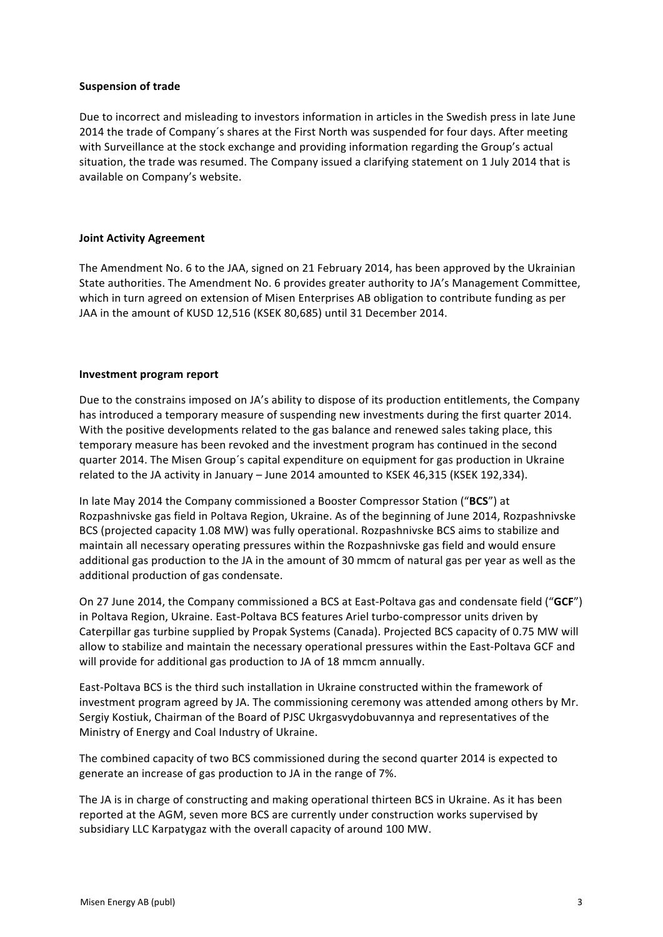### **Suspension of trade**

Due to incorrect and misleading to investors information in articles in the Swedish press in late June 2014 the trade of Company's shares at the First North was suspended for four days. After meeting with Surveillance at the stock exchange and providing information regarding the Group's actual situation, the trade was resumed. The Company issued a clarifying statement on 1 July 2014 that is available on Company's website.

### **Joint Activity Agreement**

The Amendment No. 6 to the JAA, signed on 21 February 2014, has been approved by the Ukrainian State authorities. The Amendment No. 6 provides greater authority to JA's Management Committee, which in turn agreed on extension of Misen Enterprises AB obligation to contribute funding as per JAA in the amount of KUSD 12,516 (KSEK 80,685) until 31 December 2014.

### **Investment program report**

Due to the constrains imposed on JA's ability to dispose of its production entitlements, the Company has introduced a temporary measure of suspending new investments during the first quarter 2014. With the positive developments related to the gas balance and renewed sales taking place, this temporary measure has been revoked and the investment program has continued in the second quarter 2014. The Misen Group's capital expenditure on equipment for gas production in Ukraine related to the JA activity in January - June 2014 amounted to KSEK 46,315 (KSEK 192,334).

In late May 2014 the Company commissioned a Booster Compressor Station ("BCS") at Rozpashnivske gas field in Poltava Region, Ukraine. As of the beginning of June 2014, Rozpashnivske BCS (projected capacity 1.08 MW) was fully operational. Rozpashnivske BCS aims to stabilize and maintain all necessary operating pressures within the Rozpashnivske gas field and would ensure additional gas production to the JA in the amount of 30 mmcm of natural gas per year as well as the additional production of gas condensate.

On 27 June 2014, the Company commissioned a BCS at East-Poltava gas and condensate field ("GCF") in Poltava Region, Ukraine. East-Poltava BCS features Ariel turbo-compressor units driven by Caterpillar gas turbine supplied by Propak Systems (Canada). Projected BCS capacity of 0.75 MW will allow to stabilize and maintain the necessary operational pressures within the East-Poltava GCF and will provide for additional gas production to JA of 18 mmcm annually.

East-Poltava BCS is the third such installation in Ukraine constructed within the framework of investment program agreed by JA. The commissioning ceremony was attended among others by Mr. Sergiy Kostiuk, Chairman of the Board of PJSC Ukrgasvydobuvannya and representatives of the Ministry of Energy and Coal Industry of Ukraine.

The combined capacity of two BCS commissioned during the second quarter 2014 is expected to generate an increase of gas production to JA in the range of 7%.

The JA is in charge of constructing and making operational thirteen BCS in Ukraine. As it has been reported at the AGM, seven more BCS are currently under construction works supervised by subsidiary LLC Karpatygaz with the overall capacity of around 100 MW.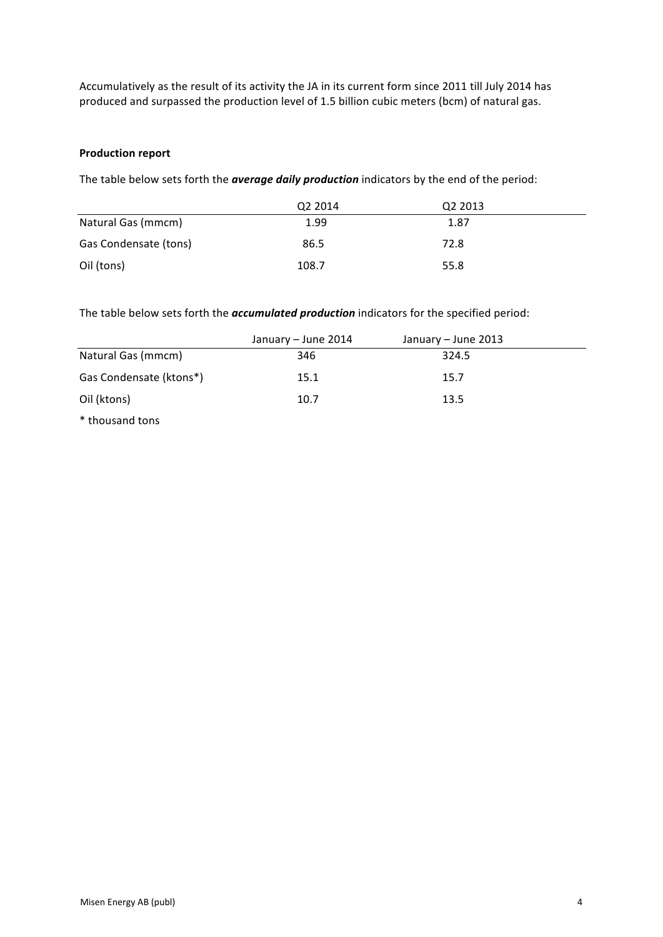Accumulatively as the result of its activity the JA in its current form since 2011 till July 2014 has produced and surpassed the production level of 1.5 billion cubic meters (bcm) of natural gas.

### **Production report**

The table below sets forth the **average daily production** indicators by the end of the period:

|                       | Q <sub>2</sub> 2014 | Q <sub>2</sub> 2013 |  |
|-----------------------|---------------------|---------------------|--|
| Natural Gas (mmcm)    | 1.99                | 1.87                |  |
| Gas Condensate (tons) | 86.5                | 72.8                |  |
| Oil (tons)            | 108.7               | 55.8                |  |

The table below sets forth the *accumulated production* indicators for the specified period:

|                         | January – June 2014 | January – June 2013 |  |
|-------------------------|---------------------|---------------------|--|
| Natural Gas (mmcm)      | 346                 | 324.5               |  |
| Gas Condensate (ktons*) | 15.1                | 15.7                |  |
| Oil (ktons)             | 10.7                | 13.5                |  |
| * thousand tons         |                     |                     |  |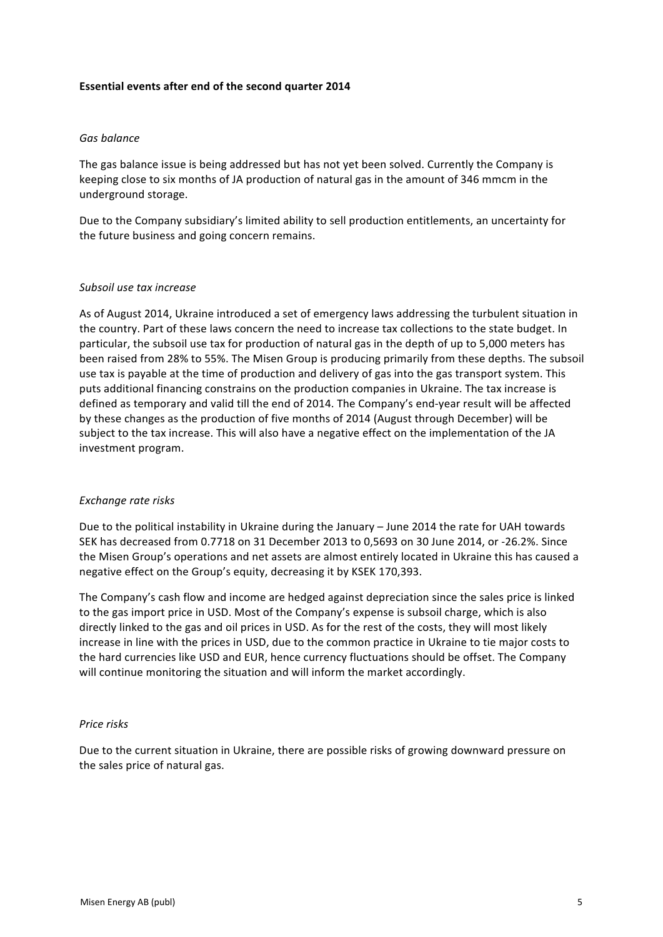### **Essential events after end of the second quarter 2014**

### *Gas balance*

The gas balance issue is being addressed but has not yet been solved. Currently the Company is keeping close to six months of JA production of natural gas in the amount of 346 mmcm in the underground storage.

Due to the Company subsidiary's limited ability to sell production entitlements, an uncertainty for the future business and going concern remains.

#### *Subsoil use tax increase*

As of August 2014, Ukraine introduced a set of emergency laws addressing the turbulent situation in the country. Part of these laws concern the need to increase tax collections to the state budget. In particular, the subsoil use tax for production of natural gas in the depth of up to 5,000 meters has been raised from 28% to 55%. The Misen Group is producing primarily from these depths. The subsoil use tax is payable at the time of production and delivery of gas into the gas transport system. This puts additional financing constrains on the production companies in Ukraine. The tax increase is defined as temporary and valid till the end of 2014. The Company's end-year result will be affected by these changes as the production of five months of 2014 (August through December) will be subject to the tax increase. This will also have a negative effect on the implementation of the JA investment program.

#### *Exchange rate risks*

Due to the political instability in Ukraine during the January – June 2014 the rate for UAH towards SEK has decreased from 0.7718 on 31 December 2013 to 0,5693 on 30 June 2014, or -26.2%. Since the Misen Group's operations and net assets are almost entirely located in Ukraine this has caused a negative effect on the Group's equity, decreasing it by KSEK 170,393.

The Company's cash flow and income are hedged against depreciation since the sales price is linked to the gas import price in USD. Most of the Company's expense is subsoil charge, which is also directly linked to the gas and oil prices in USD. As for the rest of the costs, they will most likely increase in line with the prices in USD, due to the common practice in Ukraine to tie major costs to the hard currencies like USD and EUR, hence currency fluctuations should be offset. The Company will continue monitoring the situation and will inform the market accordingly.

#### **Price** risks

Due to the current situation in Ukraine, there are possible risks of growing downward pressure on the sales price of natural gas.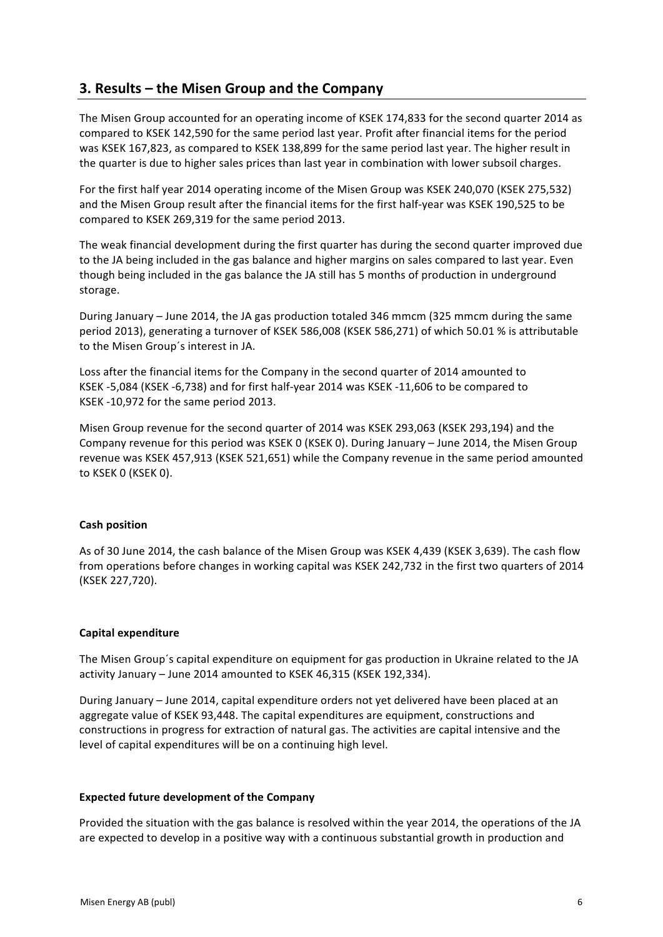# **3. Results – the Misen Group and the Company**

The Misen Group accounted for an operating income of KSEK 174,833 for the second quarter 2014 as compared to KSEK 142,590 for the same period last year. Profit after financial items for the period was KSEK 167,823, as compared to KSEK 138,899 for the same period last year. The higher result in the quarter is due to higher sales prices than last year in combination with lower subsoil charges.

For the first half year 2014 operating income of the Misen Group was KSEK 240,070 (KSEK 275,532) and the Misen Group result after the financial items for the first half-year was KSEK 190,525 to be compared to KSEK 269.319 for the same period 2013.

The weak financial development during the first quarter has during the second quarter improved due to the JA being included in the gas balance and higher margins on sales compared to last year. Even though being included in the gas balance the JA still has 5 months of production in underground storage.

During January – June 2014, the JA gas production totaled 346 mmcm (325 mmcm during the same period 2013), generating a turnover of KSEK 586,008 (KSEK 586,271) of which 50.01 % is attributable to the Misen Group's interest in JA.

Loss after the financial items for the Company in the second quarter of 2014 amounted to KSEK -5,084 (KSEK -6,738) and for first half-year 2014 was KSEK -11,606 to be compared to KSEK -10,972 for the same period 2013.

Misen Group revenue for the second quarter of 2014 was KSEK 293,063 (KSEK 293,194) and the Company revenue for this period was KSEK 0 (KSEK 0). During January - June 2014, the Misen Group revenue was KSEK 457,913 (KSEK 521,651) while the Company revenue in the same period amounted to KSEK 0 (KSEK 0).

### **Cash position**

As of 30 June 2014, the cash balance of the Misen Group was KSEK 4,439 (KSEK 3,639). The cash flow from operations before changes in working capital was KSEK 242,732 in the first two quarters of 2014 (KSEK 227,720). 

### **Capital expenditure**

The Misen Group's capital expenditure on equipment for gas production in Ukraine related to the JA activity January - June 2014 amounted to KSEK 46,315 (KSEK 192,334).

During January - June 2014, capital expenditure orders not yet delivered have been placed at an aggregate value of KSEK 93,448. The capital expenditures are equipment, constructions and constructions in progress for extraction of natural gas. The activities are capital intensive and the level of capital expenditures will be on a continuing high level.

### **Expected future development of the Company**

Provided the situation with the gas balance is resolved within the year 2014, the operations of the JA are expected to develop in a positive way with a continuous substantial growth in production and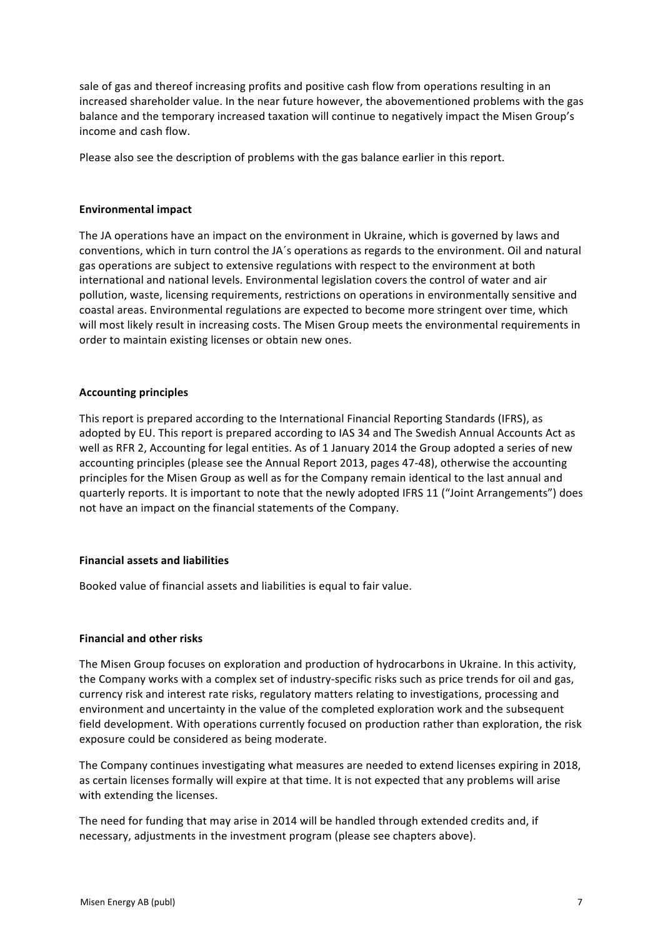sale of gas and thereof increasing profits and positive cash flow from operations resulting in an increased shareholder value. In the near future however, the abovementioned problems with the gas balance and the temporary increased taxation will continue to negatively impact the Misen Group's income and cash flow.

Please also see the description of problems with the gas balance earlier in this report.

### **Environmental impact**

The JA operations have an impact on the environment in Ukraine, which is governed by laws and conventions, which in turn control the JA's operations as regards to the environment. Oil and natural gas operations are subject to extensive regulations with respect to the environment at both international and national levels. Environmental legislation covers the control of water and air pollution, waste, licensing requirements, restrictions on operations in environmentally sensitive and coastal areas. Environmental regulations are expected to become more stringent over time, which will most likely result in increasing costs. The Misen Group meets the environmental requirements in order to maintain existing licenses or obtain new ones.

## **Accounting principles**

This report is prepared according to the International Financial Reporting Standards (IFRS), as adopted by EU. This report is prepared according to IAS 34 and The Swedish Annual Accounts Act as well as RFR 2, Accounting for legal entities. As of 1 January 2014 the Group adopted a series of new accounting principles (please see the Annual Report 2013, pages 47-48), otherwise the accounting principles for the Misen Group as well as for the Company remain identical to the last annual and quarterly reports. It is important to note that the newly adopted IFRS 11 ("Joint Arrangements") does not have an impact on the financial statements of the Company.

## **Financial assets and liabilities**

Booked value of financial assets and liabilities is equal to fair value.

### **Financial and other risks**

The Misen Group focuses on exploration and production of hydrocarbons in Ukraine. In this activity, the Company works with a complex set of industry-specific risks such as price trends for oil and gas, currency risk and interest rate risks, regulatory matters relating to investigations, processing and environment and uncertainty in the value of the completed exploration work and the subsequent field development. With operations currently focused on production rather than exploration, the risk exposure could be considered as being moderate.

The Company continues investigating what measures are needed to extend licenses expiring in 2018, as certain licenses formally will expire at that time. It is not expected that any problems will arise with extending the licenses.

The need for funding that may arise in 2014 will be handled through extended credits and, if necessary, adjustments in the investment program (please see chapters above).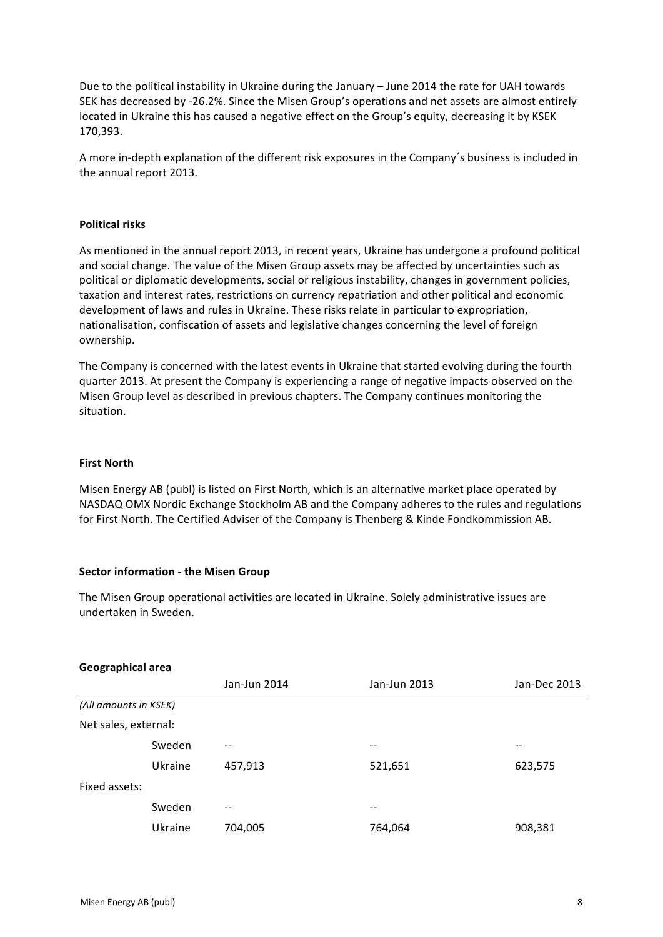Due to the political instability in Ukraine during the January – June 2014 the rate for UAH towards SEK has decreased by -26.2%. Since the Misen Group's operations and net assets are almost entirely located in Ukraine this has caused a negative effect on the Group's equity, decreasing it by KSEK 170,393. 

A more in-depth explanation of the different risk exposures in the Company's business is included in the annual report 2013.

### **Political risks**

As mentioned in the annual report 2013, in recent years, Ukraine has undergone a profound political and social change. The value of the Misen Group assets may be affected by uncertainties such as political or diplomatic developments, social or religious instability, changes in government policies, taxation and interest rates, restrictions on currency repatriation and other political and economic development of laws and rules in Ukraine. These risks relate in particular to expropriation, nationalisation, confiscation of assets and legislative changes concerning the level of foreign ownership. 

The Company is concerned with the latest events in Ukraine that started evolving during the fourth quarter 2013. At present the Company is experiencing a range of negative impacts observed on the Misen Group level as described in previous chapters. The Company continues monitoring the situation.

#### **First North**

Misen Energy AB (publ) is listed on First North, which is an alternative market place operated by NASDAQ OMX Nordic Exchange Stockholm AB and the Company adheres to the rules and regulations for First North. The Certified Adviser of the Company is Thenberg & Kinde Fondkommission AB.

#### **Sector information - the Misen Group**

The Misen Group operational activities are located in Ukraine. Solely administrative issues are undertaken in Sweden.

#### **Geographical area**

|                       |         | Jan-Jun 2014 | Jan-Jun 2013 | Jan-Dec 2013 |
|-----------------------|---------|--------------|--------------|--------------|
| (All amounts in KSEK) |         |              |              |              |
| Net sales, external:  |         |              |              |              |
|                       | Sweden  | --           | --           |              |
|                       | Ukraine | 457,913      | 521,651      | 623,575      |
| Fixed assets:         |         |              |              |              |
|                       | Sweden  | --           | --           |              |
|                       | Ukraine | 704,005      | 764,064      | 908,381      |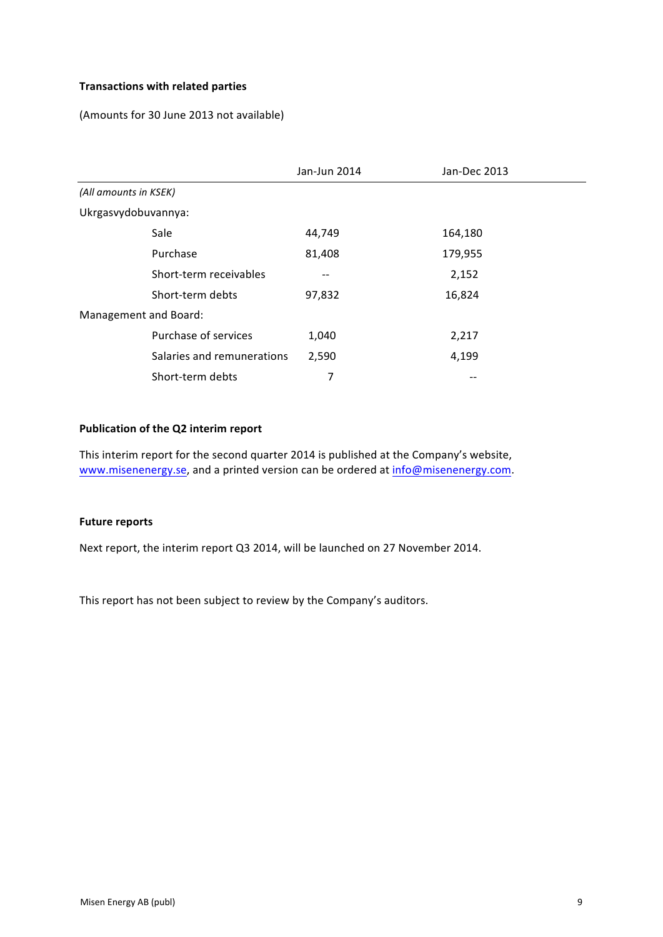# **Transactions with related parties**

(Amounts for 30 June 2013 not available)

|                            | Jan-Jun 2014 | Jan-Dec 2013 |
|----------------------------|--------------|--------------|
| (All amounts in KSEK)      |              |              |
| Ukrgasvydobuvannya:        |              |              |
| Sale                       | 44,749       | 164,180      |
| Purchase                   | 81,408       | 179,955      |
| Short-term receivables     |              | 2,152        |
| Short-term debts           | 97,832       | 16,824       |
| Management and Board:      |              |              |
| Purchase of services       | 1,040        | 2,217        |
| Salaries and remunerations | 2,590        | 4,199        |
| Short-term debts           | 7            | --           |

### **Publication of the Q2 interim report**

This interim report for the second quarter 2014 is published at the Company's website, www.misenenergy.se, and a printed version can be ordered at info@misenenergy.com.

## **Future reports**

Next report, the interim report Q3 2014, will be launched on 27 November 2014.

This report has not been subject to review by the Company's auditors.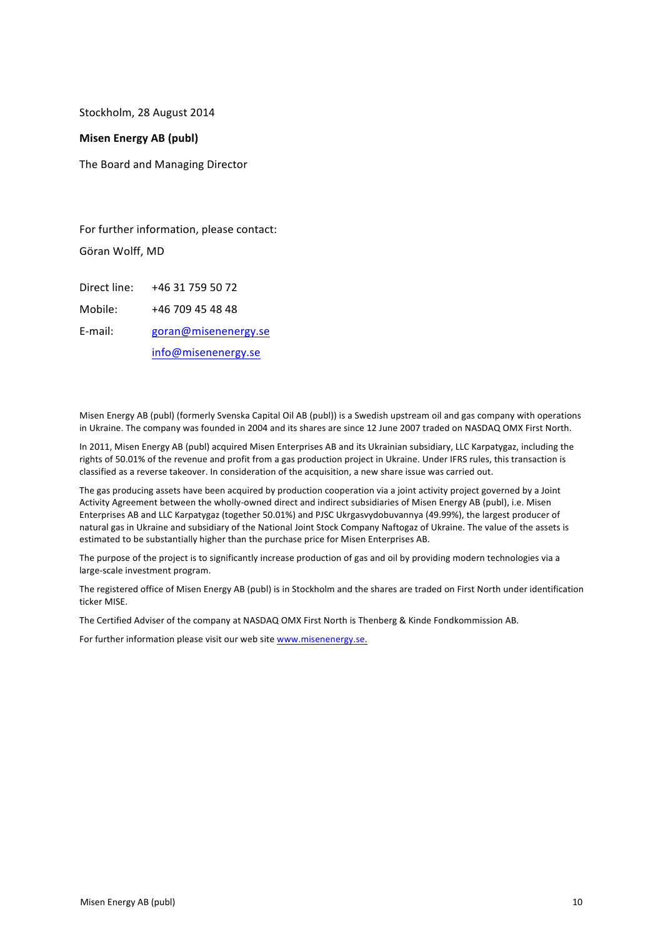Stockholm, 28 August 2014

#### **Misen Energy AB (publ)**

The Board and Managing Director

For further information, please contact: Göran Wolff, MD

Direct line: +46 31 759 50 72 Mobile: +46 709 45 48 48

E-mail: goran@misenenergy.se 

info@misenenergy.se 

Misen Energy AB (publ) (formerly Svenska Capital Oil AB (publ)) is a Swedish upstream oil and gas company with operations in Ukraine. The company was founded in 2004 and its shares are since 12 June 2007 traded on NASDAQ OMX First North.

In 2011, Misen Energy AB (publ) acquired Misen Enterprises AB and its Ukrainian subsidiary, LLC Karpatygaz, including the rights of 50.01% of the revenue and profit from a gas production project in Ukraine. Under IFRS rules, this transaction is classified as a reverse takeover. In consideration of the acquisition, a new share issue was carried out.

The gas producing assets have been acquired by production cooperation via a joint activity project governed by a Joint Activity Agreement between the wholly-owned direct and indirect subsidiaries of Misen Energy AB (publ), i.e. Misen Enterprises AB and LLC Karpatygaz (together 50.01%) and PJSC Ukrgasvydobuvannya (49.99%), the largest producer of natural gas in Ukraine and subsidiary of the National Joint Stock Company Naftogaz of Ukraine. The value of the assets is estimated to be substantially higher than the purchase price for Misen Enterprises AB.

The purpose of the project is to significantly increase production of gas and oil by providing modern technologies via a large-scale investment program.

The registered office of Misen Energy AB (publ) is in Stockholm and the shares are traded on First North under identification ticker MISE.

The Certified Adviser of the company at NASDAQ OMX First North is Thenberg & Kinde Fondkommission AB.

For further information please visit our web site www.misenenergy.se.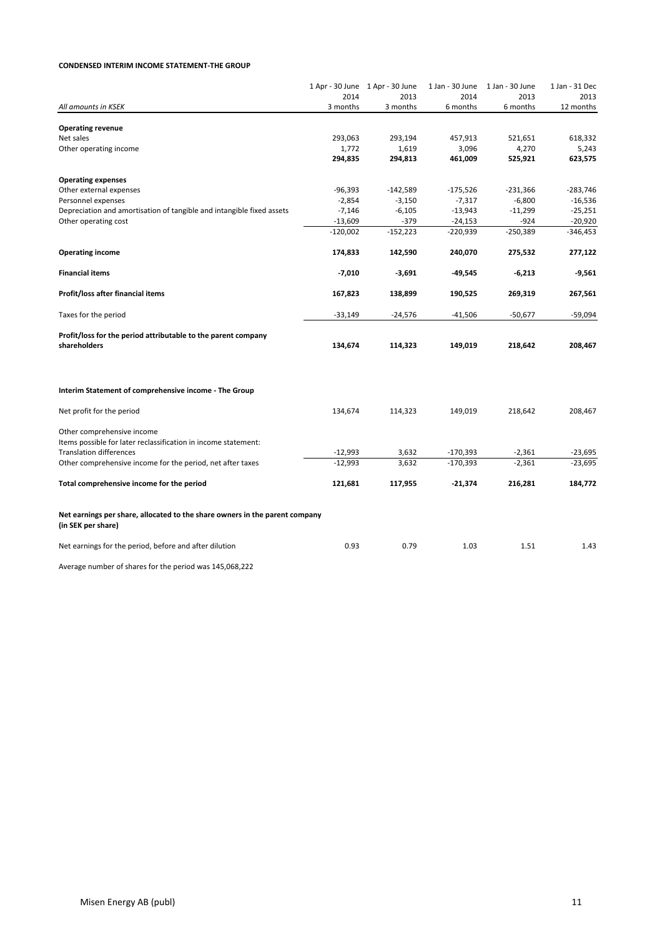#### **CONDENSED INTERIM INCOME STATEMENT-THE GROUP**

|                                                                                                                                | 1 Apr - 30 June 1 Apr - 30 June<br>2014 | 2013                 | 1 Jan - 30 June<br>2014 | 1 Jan - 30 June<br>2013 | 1 Jan - 31 Dec<br>2013  |
|--------------------------------------------------------------------------------------------------------------------------------|-----------------------------------------|----------------------|-------------------------|-------------------------|-------------------------|
| All amounts in KSEK                                                                                                            | 3 months                                | 3 months             | 6 months                | 6 months                | 12 months               |
|                                                                                                                                |                                         |                      |                         |                         |                         |
| <b>Operating revenue</b><br>Net sales                                                                                          | 293,063                                 | 293,194              | 457,913                 | 521,651                 | 618,332                 |
| Other operating income                                                                                                         | 1,772                                   | 1,619                | 3,096                   | 4,270                   | 5,243                   |
|                                                                                                                                | 294,835                                 | 294,813              | 461,009                 | 525,921                 | 623,575                 |
|                                                                                                                                |                                         |                      |                         |                         |                         |
| <b>Operating expenses</b>                                                                                                      |                                         |                      |                         |                         |                         |
| Other external expenses<br>Personnel expenses                                                                                  | $-96,393$<br>$-2,854$                   | $-142,589$           | $-175,526$<br>$-7,317$  | $-231,366$<br>$-6,800$  | $-283,746$<br>$-16,536$ |
| Depreciation and amortisation of tangible and intangible fixed assets                                                          | $-7,146$                                | $-3,150$<br>$-6,105$ | $-13,943$               | $-11,299$               | $-25,251$               |
| Other operating cost                                                                                                           | $-13,609$                               | $-379$               | $-24,153$               | $-924$                  | $-20,920$               |
|                                                                                                                                | $-120,002$                              | $-152,223$           | -220,939                | $-250,389$              | $-346,453$              |
| <b>Operating income</b>                                                                                                        | 174,833                                 | 142,590              | 240,070                 | 275,532                 | 277,122                 |
|                                                                                                                                |                                         |                      |                         |                         |                         |
| <b>Financial items</b>                                                                                                         | $-7,010$                                | $-3,691$             | $-49,545$               | $-6,213$                | $-9,561$                |
| Profit/loss after financial items                                                                                              | 167,823                                 | 138,899              | 190,525                 | 269,319                 | 267,561                 |
| Taxes for the period                                                                                                           | $-33,149$                               | $-24,576$            | $-41,506$               | $-50,677$               | $-59,094$               |
| Profit/loss for the period attributable to the parent company<br>shareholders                                                  | 134,674                                 | 114,323              | 149,019                 | 218,642                 | 208,467                 |
| Interim Statement of comprehensive income - The Group                                                                          |                                         |                      |                         |                         |                         |
| Net profit for the period                                                                                                      | 134,674                                 | 114,323              | 149,019                 | 218,642                 | 208,467                 |
| Other comprehensive income<br>Items possible for later reclassification in income statement:<br><b>Translation differences</b> | $-12,993$                               | 3,632                | $-170,393$              | $-2,361$                | $-23,695$               |
| Other comprehensive income for the period, net after taxes                                                                     | $-12,993$                               | 3,632                | $-170,393$              | $-2,361$                | $-23,695$               |
|                                                                                                                                |                                         |                      |                         |                         |                         |
| Total comprehensive income for the period                                                                                      | 121,681                                 | 117,955              | $-21,374$               | 216,281                 | 184,772                 |
| Net earnings per share, allocated to the share owners in the parent company<br>(in SEK per share)                              |                                         |                      |                         |                         |                         |
| Net earnings for the period, before and after dilution                                                                         | 0.93                                    | 0.79                 | 1.03                    | 1.51                    | 1.43                    |
| Average number of shares for the period was 145,068,222                                                                        |                                         |                      |                         |                         |                         |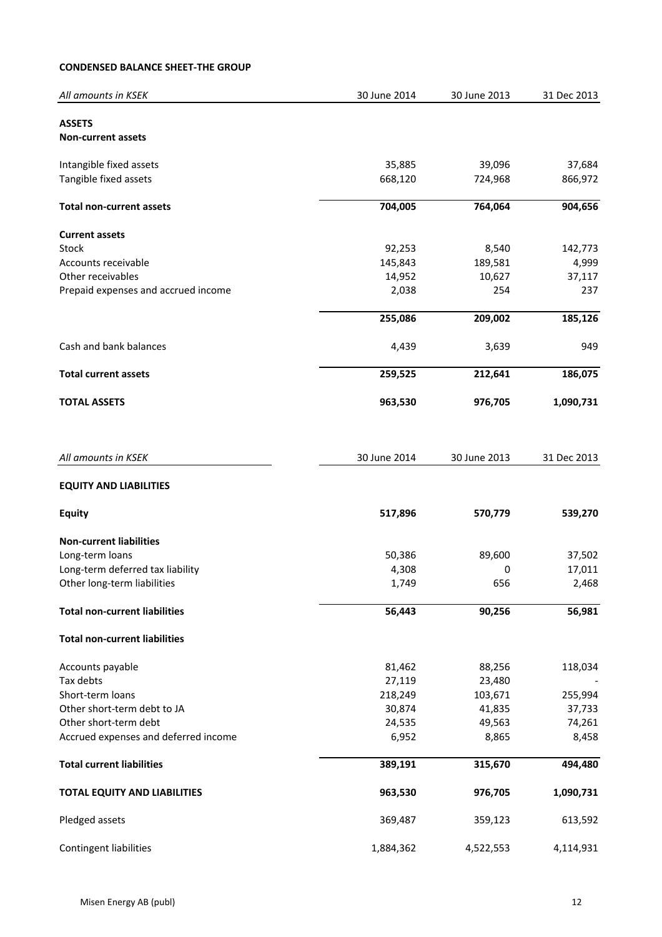## **CONDENSED BALANCE SHEET-THE GROUP**

| All amounts in KSEK                  | 30 June 2014 | 30 June 2013 | 31 Dec 2013 |
|--------------------------------------|--------------|--------------|-------------|
| <b>ASSETS</b>                        |              |              |             |
| <b>Non-current assets</b>            |              |              |             |
| Intangible fixed assets              | 35,885       | 39,096       | 37,684      |
| Tangible fixed assets                | 668,120      | 724,968      | 866,972     |
| <b>Total non-current assets</b>      | 704,005      | 764,064      | 904,656     |
| <b>Current assets</b>                |              |              |             |
| Stock                                | 92,253       | 8,540        | 142,773     |
| Accounts receivable                  | 145,843      | 189,581      | 4,999       |
| Other receivables                    | 14,952       | 10,627       | 37,117      |
| Prepaid expenses and accrued income  | 2,038        | 254          | 237         |
|                                      | 255,086      | 209,002      | 185,126     |
| Cash and bank balances               | 4,439        | 3,639        | 949         |
| <b>Total current assets</b>          | 259,525      | 212,641      | 186,075     |
| <b>TOTAL ASSETS</b>                  | 963,530      | 976,705      | 1,090,731   |
| All amounts in KSEK                  | 30 June 2014 | 30 June 2013 | 31 Dec 2013 |
| <b>EQUITY AND LIABILITIES</b>        |              |              |             |
| <b>Equity</b>                        | 517,896      | 570,779      | 539,270     |
| <b>Non-current liabilities</b>       |              |              |             |
| Long-term loans                      | 50,386       | 89,600       | 37,502      |
| Long-term deferred tax liability     | 4,308        | 0            | 17,011      |
| Other long-term liabilities          | 1,749        | 656          | 2,468       |
| <b>Total non-current liabilities</b> | 56,443       | 90,256       | 56,981      |
| <b>Total non-current liabilities</b> |              |              |             |
| Accounts payable                     | 81,462       | 88,256       | 118,034     |
| Tax debts                            | 27,119       | 23,480       |             |
| Short-term loans                     | 218,249      | 103,671      | 255,994     |
| Other short-term debt to JA          | 30,874       | 41,835       | 37,733      |
| Other short-term debt                | 24,535       | 49,563       | 74,261      |
| Accrued expenses and deferred income | 6,952        | 8,865        | 8,458       |
| <b>Total current liabilities</b>     | 389,191      | 315,670      | 494,480     |
| <b>TOTAL EQUITY AND LIABILITIES</b>  | 963,530      | 976,705      | 1,090,731   |
| Pledged assets                       | 369,487      | 359,123      | 613,592     |
| Contingent liabilities               | 1,884,362    | 4,522,553    | 4,114,931   |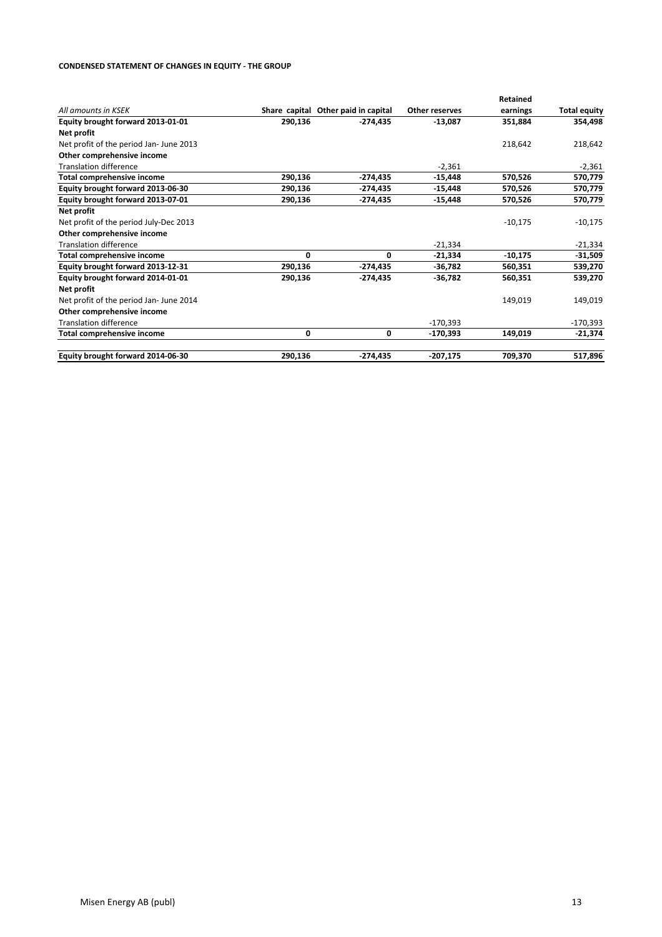#### **CONDENSED STATEMENT OF CHANGES IN EQUITY - THE GROUP**

|                                        |         |                                     |                | Retained  |                     |
|----------------------------------------|---------|-------------------------------------|----------------|-----------|---------------------|
| All amounts in KSEK                    |         | Share capital Other paid in capital | Other reserves | earnings  | <b>Total equity</b> |
| Equity brought forward 2013-01-01      | 290,136 | -274.435                            | $-13,087$      | 351,884   | 354,498             |
| Net profit                             |         |                                     |                |           |                     |
| Net profit of the period Jan-June 2013 |         |                                     |                | 218,642   | 218,642             |
| Other comprehensive income             |         |                                     |                |           |                     |
| <b>Translation difference</b>          |         |                                     | $-2,361$       |           | $-2,361$            |
| Total comprehensive income             | 290,136 | $-274,435$                          | -15,448        | 570,526   | 570,779             |
| Equity brought forward 2013-06-30      | 290,136 | -274,435                            | -15,448        | 570,526   | 570,779             |
| Equity brought forward 2013-07-01      | 290,136 | $-274,435$                          | $-15,448$      | 570,526   | 570,779             |
| Net profit                             |         |                                     |                |           |                     |
| Net profit of the period July-Dec 2013 |         |                                     |                | $-10,175$ | $-10,175$           |
| Other comprehensive income             |         |                                     |                |           |                     |
| <b>Translation difference</b>          |         |                                     | $-21,334$      |           | $-21,334$           |
| <b>Total comprehensive income</b>      | 0       | 0                                   | $-21,334$      | $-10,175$ | $-31,509$           |
| Equity brought forward 2013-12-31      | 290,136 | $-274,435$                          | $-36,782$      | 560,351   | 539,270             |
| Equity brought forward 2014-01-01      | 290,136 | $-274,435$                          | $-36,782$      | 560,351   | 539,270             |
| Net profit                             |         |                                     |                |           |                     |
| Net profit of the period Jan-June 2014 |         |                                     |                | 149,019   | 149,019             |
| Other comprehensive income             |         |                                     |                |           |                     |
| <b>Translation difference</b>          |         |                                     | $-170,393$     |           | $-170,393$          |
| <b>Total comprehensive income</b>      | 0       | 0                                   | $-170,393$     | 149,019   | $-21,374$           |
| Equity brought forward 2014-06-30      | 290,136 | $-274,435$                          | $-207,175$     | 709,370   | 517,896             |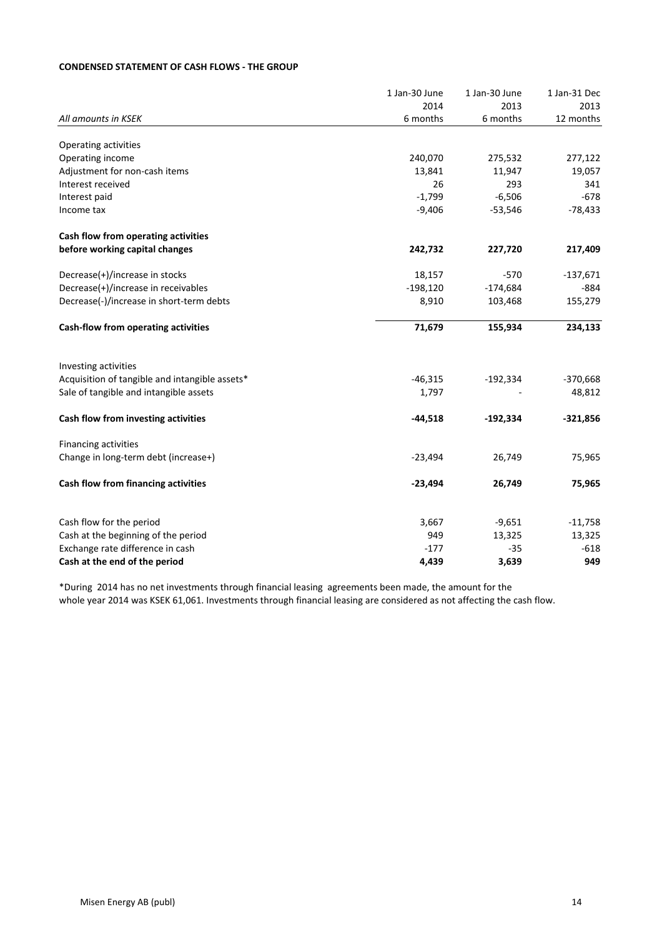### **CONDENSED STATEMENT OF CASH FLOWS - THE GROUP**

|                                                | 1 Jan-30 June | 1 Jan-30 June | 1 Jan-31 Dec |
|------------------------------------------------|---------------|---------------|--------------|
|                                                | 2014          | 2013          | 2013         |
| All amounts in KSEK                            | 6 months      | 6 months      | 12 months    |
| Operating activities                           |               |               |              |
| Operating income                               | 240,070       | 275,532       | 277,122      |
| Adjustment for non-cash items                  | 13,841        | 11,947        | 19,057       |
| Interest received                              | 26            | 293           | 341          |
| Interest paid                                  | $-1,799$      | $-6,506$      | $-678$       |
| Income tax                                     | $-9,406$      | $-53,546$     | $-78,433$    |
| Cash flow from operating activities            |               |               |              |
| before working capital changes                 | 242,732       | 227,720       | 217,409      |
| Decrease(+)/increase in stocks                 | 18,157        | $-570$        | $-137,671$   |
| Decrease(+)/increase in receivables            | $-198,120$    | $-174,684$    | $-884$       |
| Decrease(-)/increase in short-term debts       | 8,910         | 103,468       | 155,279      |
| Cash-flow from operating activities            | 71,679        | 155,934       | 234,133      |
| Investing activities                           |               |               |              |
| Acquisition of tangible and intangible assets* | $-46,315$     | $-192,334$    | $-370,668$   |
| Sale of tangible and intangible assets         | 1,797         |               | 48,812       |
| Cash flow from investing activities            | $-44,518$     | $-192,334$    | $-321,856$   |
| Financing activities                           |               |               |              |
| Change in long-term debt (increase+)           | $-23,494$     | 26,749        | 75,965       |
| Cash flow from financing activities            | $-23,494$     | 26,749        | 75,965       |
| Cash flow for the period                       | 3,667         | $-9,651$      | $-11,758$    |
| Cash at the beginning of the period            | 949           | 13,325        | 13,325       |
| Exchange rate difference in cash               | $-177$        | $-35$         | $-618$       |
| Cash at the end of the period                  | 4,439         | 3,639         | 949          |

\*During 2014 has no net investments through financial leasing agreements been made, the amount for the whole year 2014 was KSEK 61,061. Investments through financial leasing are considered as not affecting the cash flow.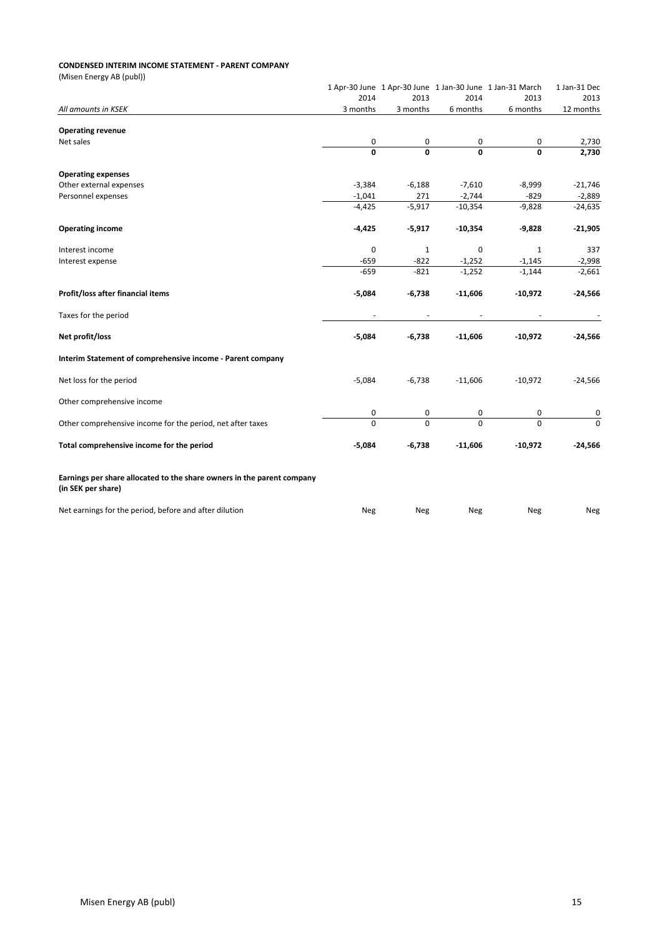#### **CONDENSED INTERIM INCOME STATEMENT - PARENT COMPANY**

(Misen Energy AB (publ))

|                                                                                              |              |              |           | 1 Apr-30 June 1 Apr-30 June 1 Jan-30 June 1 Jan-31 March | 1 Jan-31 Dec |
|----------------------------------------------------------------------------------------------|--------------|--------------|-----------|----------------------------------------------------------|--------------|
|                                                                                              | 2014         | 2013         | 2014      | 2013                                                     | 2013         |
| All amounts in KSEK                                                                          | 3 months     | 3 months     | 6 months  | 6 months                                                 | 12 months    |
| <b>Operating revenue</b>                                                                     |              |              |           |                                                          |              |
| Net sales                                                                                    | 0            | 0            | 0         | 0                                                        | 2,730        |
|                                                                                              | $\mathbf{0}$ | $\Omega$     | $\Omega$  | 0                                                        | 2,730        |
| <b>Operating expenses</b>                                                                    |              |              |           |                                                          |              |
| Other external expenses                                                                      | $-3,384$     | $-6,188$     | $-7,610$  | $-8,999$                                                 | $-21,746$    |
| Personnel expenses                                                                           | $-1,041$     | 271          | $-2,744$  | $-829$                                                   | $-2,889$     |
|                                                                                              | $-4,425$     | $-5,917$     | $-10,354$ | $-9,828$                                                 | $-24,635$    |
| <b>Operating income</b>                                                                      | $-4,425$     | $-5,917$     | $-10,354$ | $-9,828$                                                 | $-21,905$    |
| Interest income                                                                              | 0            | $\mathbf{1}$ | 0         | $\mathbf{1}$                                             | 337          |
| Interest expense                                                                             | $-659$       | $-822$       | $-1,252$  | $-1,145$                                                 | $-2,998$     |
|                                                                                              | $-659$       | $-821$       | $-1,252$  | $-1,144$                                                 | $-2,661$     |
| Profit/loss after financial items                                                            | $-5,084$     | $-6,738$     | $-11,606$ | $-10,972$                                                | $-24,566$    |
| Taxes for the period                                                                         |              |              |           |                                                          |              |
| Net profit/loss                                                                              | $-5,084$     | $-6,738$     | $-11,606$ | $-10,972$                                                | $-24,566$    |
| Interim Statement of comprehensive income - Parent company                                   |              |              |           |                                                          |              |
| Net loss for the period                                                                      | $-5,084$     | $-6,738$     | $-11,606$ | $-10,972$                                                | $-24,566$    |
| Other comprehensive income                                                                   |              |              |           |                                                          |              |
|                                                                                              | 0            | 0            | 0         | 0                                                        | 0            |
| Other comprehensive income for the period, net after taxes                                   | $\Omega$     | $\Omega$     | $\Omega$  | $\Omega$                                                 | $\Omega$     |
| Total comprehensive income for the period                                                    | $-5,084$     | $-6,738$     | $-11,606$ | $-10,972$                                                | $-24,566$    |
| Earnings per share allocated to the share owners in the parent company<br>(in SEK per share) |              |              |           |                                                          |              |
| Net earnings for the period, before and after dilution                                       | <b>Neg</b>   | Neg          | Neg       | Neg                                                      | Neg          |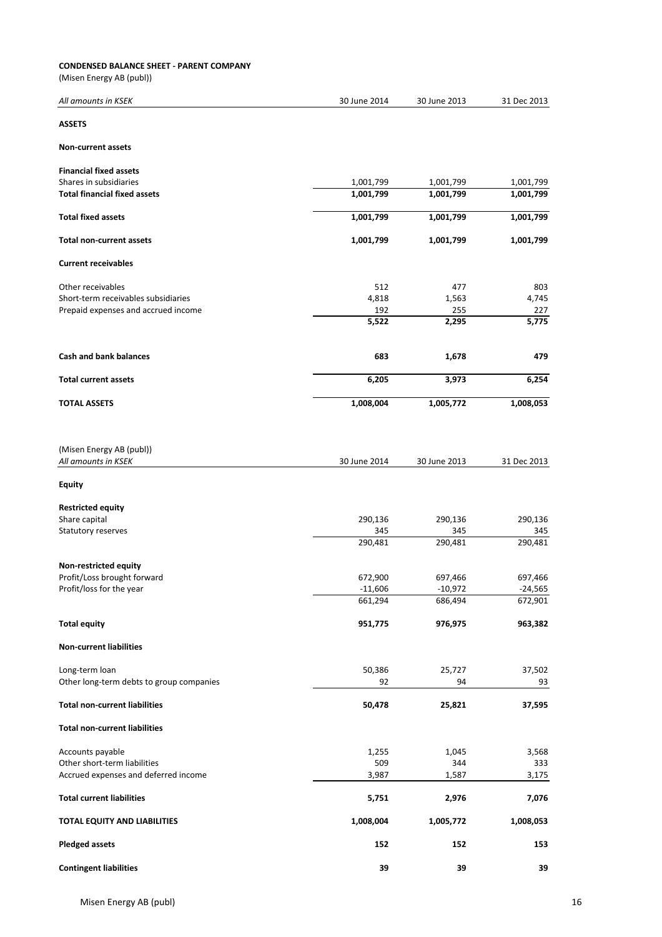#### **CONDENSED BALANCE SHEET - PARENT COMPANY**

(Misen Energy AB (publ))

| All amounts in KSEK                      | 30 June 2014 | 30 June 2013 | 31 Dec 2013 |
|------------------------------------------|--------------|--------------|-------------|
| <b>ASSETS</b>                            |              |              |             |
| <b>Non-current assets</b>                |              |              |             |
| <b>Financial fixed assets</b>            |              |              |             |
| Shares in subsidiaries                   | 1,001,799    | 1,001,799    | 1,001,799   |
| <b>Total financial fixed assets</b>      | 1,001,799    | 1,001,799    | 1,001,799   |
| <b>Total fixed assets</b>                | 1,001,799    | 1,001,799    | 1,001,799   |
| Total non-current assets                 | 1,001,799    | 1,001,799    | 1,001,799   |
| <b>Current receivables</b>               |              |              |             |
| Other receivables                        | 512          | 477          | 803         |
| Short-term receivables subsidiaries      | 4,818        | 1,563        | 4,745       |
| Prepaid expenses and accrued income      | 192          | 255          | 227         |
|                                          | 5,522        | 2,295        | 5,775       |
| <b>Cash and bank balances</b>            | 683          | 1,678        | 479         |
| <b>Total current assets</b>              | 6,205        | 3,973        | 6,254       |
| <b>TOTAL ASSETS</b>                      | 1,008,004    | 1,005,772    | 1,008,053   |
| (Misen Energy AB (publ))                 |              |              |             |
| All amounts in KSEK                      | 30 June 2014 | 30 June 2013 | 31 Dec 2013 |
| Equity                                   |              |              |             |
| <b>Restricted equity</b>                 |              |              |             |
| Share capital                            | 290,136      | 290,136      | 290,136     |
| Statutory reserves                       | 345          | 345          | 345         |
|                                          | 290,481      | 290,481      | 290,481     |
| Non-restricted equity                    |              |              |             |
| Profit/Loss brought forward              | 672,900      | 697,466      | 697,466     |
| Profit/loss for the year                 | $-11,606$    | $-10,972$    | -24,565     |
|                                          | 661,294      | 686,494      | 672,901     |
| <b>Total equity</b>                      | 951,775      | 976,975      | 963,382     |
| <b>Non-current liabilities</b>           |              |              |             |
| Long-term loan                           | 50,386       | 25,727       | 37,502      |
| Other long-term debts to group companies | 92           | 94           | 93          |
| <b>Total non-current liabilities</b>     | 50,478       | 25,821       | 37,595      |
| <b>Total non-current liabilities</b>     |              |              |             |
| Accounts payable                         | 1,255        | 1,045        | 3,568       |
| Other short-term liabilities             | 509          | 344          | 333         |
| Accrued expenses and deferred income     | 3,987        | 1,587        | 3,175       |
| <b>Total current liabilities</b>         | 5,751        | 2,976        | 7,076       |
| TOTAL EQUITY AND LIABILITIES             | 1,008,004    | 1,005,772    | 1,008,053   |
| <b>Pledged assets</b>                    | 152          | 152          | 153         |
| <b>Contingent liabilities</b>            | 39           | 39           | 39          |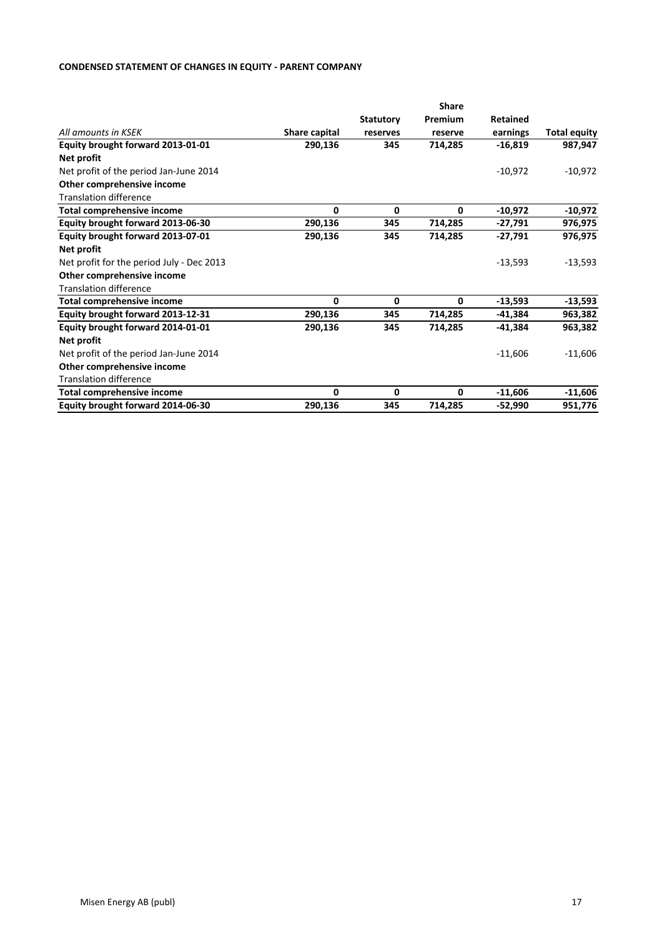### **CONDENSED STATEMENT OF CHANGES IN EQUITY - PARENT COMPANY**

|                                           | <b>Share</b>  |                  |         |                 |                     |  |
|-------------------------------------------|---------------|------------------|---------|-----------------|---------------------|--|
|                                           |               | <b>Statutory</b> | Premium | <b>Retained</b> |                     |  |
| All amounts in KSEK                       | Share capital | reserves         | reserve | earnings        | <b>Total equity</b> |  |
| Equity brought forward 2013-01-01         | 290,136       | 345              | 714,285 | $-16,819$       | 987,947             |  |
| Net profit                                |               |                  |         |                 |                     |  |
| Net profit of the period Jan-June 2014    |               |                  |         | $-10,972$       | $-10,972$           |  |
| Other comprehensive income                |               |                  |         |                 |                     |  |
| <b>Translation difference</b>             |               |                  |         |                 |                     |  |
| <b>Total comprehensive income</b>         | $\mathbf{0}$  | 0                | 0       | $-10,972$       | $-10,972$           |  |
| Equity brought forward 2013-06-30         | 290,136       | 345              | 714,285 | $-27,791$       | 976,975             |  |
| Equity brought forward 2013-07-01         | 290,136       | 345              | 714,285 | $-27,791$       | 976,975             |  |
| Net profit                                |               |                  |         |                 |                     |  |
| Net profit for the period July - Dec 2013 |               |                  |         | $-13,593$       | $-13,593$           |  |
| Other comprehensive income                |               |                  |         |                 |                     |  |
| <b>Translation difference</b>             |               |                  |         |                 |                     |  |
| Total comprehensive income                | 0             | 0                | 0       | -13,593         | $-13,593$           |  |
| Equity brought forward 2013-12-31         | 290,136       | 345              | 714,285 | $-41,384$       | 963,382             |  |
| Equity brought forward 2014-01-01         | 290,136       | 345              | 714,285 | $-41,384$       | 963,382             |  |
| Net profit                                |               |                  |         |                 |                     |  |
| Net profit of the period Jan-June 2014    |               |                  |         | $-11,606$       | $-11,606$           |  |
| Other comprehensive income                |               |                  |         |                 |                     |  |
| <b>Translation difference</b>             |               |                  |         |                 |                     |  |
| <b>Total comprehensive income</b>         | 0             | 0                | 0       | $-11,606$       | $-11,606$           |  |
| Equity brought forward 2014-06-30         | 290,136       | 345              | 714,285 | $-52,990$       | 951,776             |  |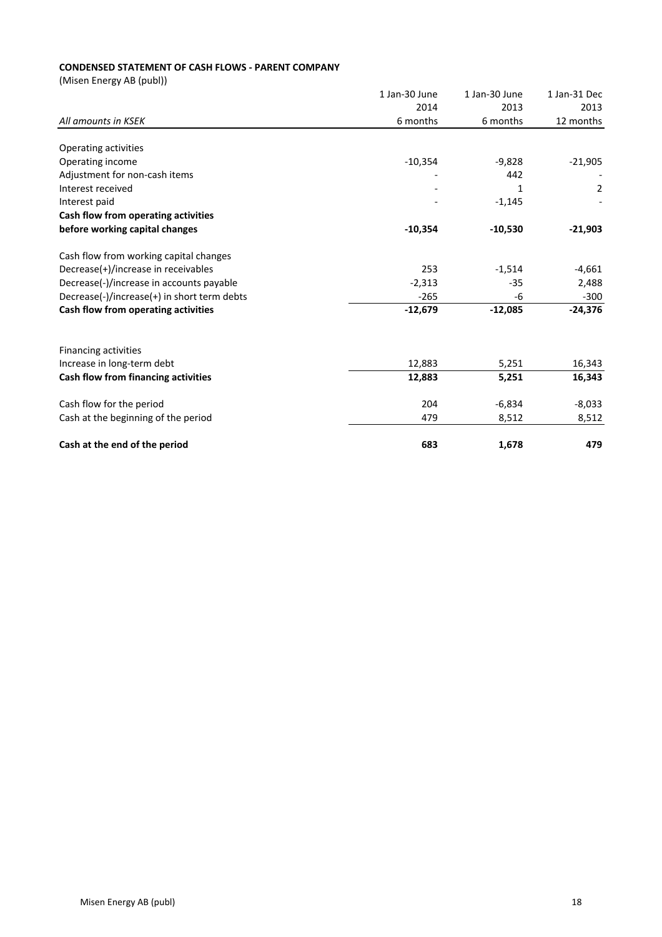## **CONDENSED STATEMENT OF CASH FLOWS - PARENT COMPANY**

(Misen Energy AB (publ))

|                                             | 1 Jan-30 June | 1 Jan-30 June | 1 Jan-31 Dec   |
|---------------------------------------------|---------------|---------------|----------------|
|                                             | 2014          | 2013          | 2013           |
| All amounts in KSEK                         | 6 months      | 6 months      | 12 months      |
| Operating activities                        |               |               |                |
| Operating income                            | $-10,354$     | $-9,828$      | $-21,905$      |
| Adjustment for non-cash items               |               | 442           |                |
| Interest received                           |               | 1             | $\overline{2}$ |
| Interest paid                               |               | $-1,145$      |                |
| Cash flow from operating activities         |               |               |                |
| before working capital changes              | $-10,354$     | $-10,530$     | $-21,903$      |
| Cash flow from working capital changes      |               |               |                |
| Decrease(+)/increase in receivables         | 253           | $-1,514$      | $-4,661$       |
| Decrease(-)/increase in accounts payable    | $-2,313$      | $-35$         | 2,488          |
| Decrease(-)/increase(+) in short term debts | $-265$        | -6            | $-300$         |
| Cash flow from operating activities         | $-12,679$     | $-12,085$     | $-24,376$      |
| <b>Financing activities</b>                 |               |               |                |
| Increase in long-term debt                  | 12,883        | 5,251         | 16,343         |
| Cash flow from financing activities         | 12,883        | 5,251         | 16,343         |
| Cash flow for the period                    | 204           | $-6,834$      | $-8,033$       |
| Cash at the beginning of the period         | 479           | 8,512         | 8,512          |
| Cash at the end of the period               | 683           | 1,678         | 479            |